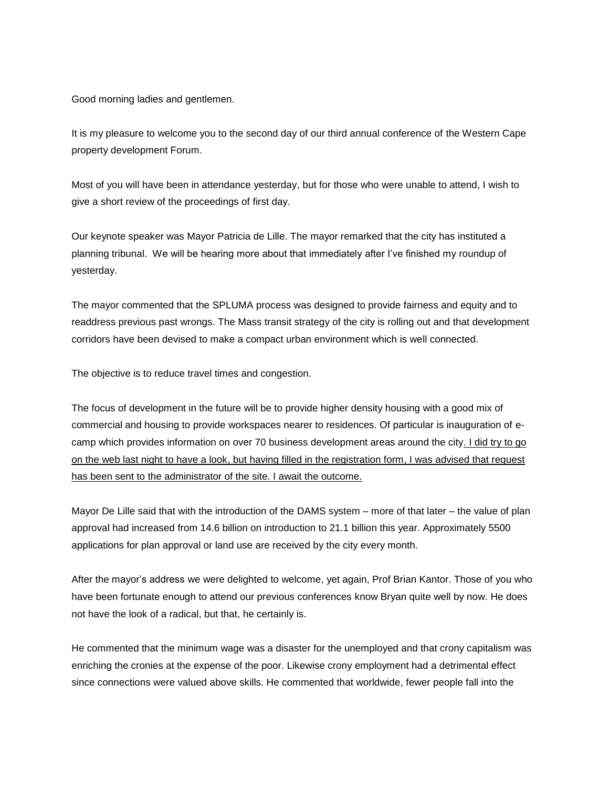Good morning ladies and gentlemen.

It is my pleasure to welcome you to the second day of our third annual conference of the Western Cape property development Forum.

Most of you will have been in attendance yesterday, but for those who were unable to attend, I wish to give a short review of the proceedings of first day.

Our keynote speaker was Mayor Patricia de Lille. The mayor remarked that the city has instituted a planning tribunal. We will be hearing more about that immediately after I've finished my roundup of yesterday.

The mayor commented that the SPLUMA process was designed to provide fairness and equity and to readdress previous past wrongs. The Mass transit strategy of the city is rolling out and that development corridors have been devised to make a compact urban environment which is well connected.

The objective is to reduce travel times and congestion.

The focus of development in the future will be to provide higher density housing with a good mix of commercial and housing to provide workspaces nearer to residences. Of particular is inauguration of ecamp which provides information on over 70 business development areas around the city. I did try to go on the web last night to have a look, but having filled in the registration form, I was advised that request has been sent to the administrator of the site. I await the outcome.

Mayor De Lille said that with the introduction of the DAMS system – more of that later – the value of plan approval had increased from 14.6 billion on introduction to 21.1 billion this year. Approximately 5500 applications for plan approval or land use are received by the city every month.

After the mayor's address we were delighted to welcome, yet again, Prof Brian Kantor. Those of you who have been fortunate enough to attend our previous conferences know Bryan quite well by now. He does not have the look of a radical, but that, he certainly is.

He commented that the minimum wage was a disaster for the unemployed and that crony capitalism was enriching the cronies at the expense of the poor. Likewise crony employment had a detrimental effect since connections were valued above skills. He commented that worldwide, fewer people fall into the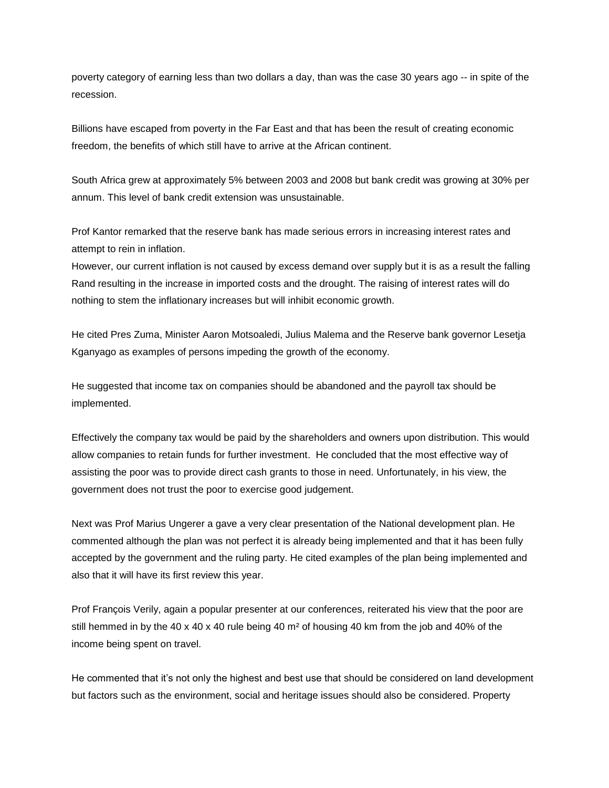poverty category of earning less than two dollars a day, than was the case 30 years ago -- in spite of the recession.

Billions have escaped from poverty in the Far East and that has been the result of creating economic freedom, the benefits of which still have to arrive at the African continent.

South Africa grew at approximately 5% between 2003 and 2008 but bank credit was growing at 30% per annum. This level of bank credit extension was unsustainable.

Prof Kantor remarked that the reserve bank has made serious errors in increasing interest rates and attempt to rein in inflation.

However, our current inflation is not caused by excess demand over supply but it is as a result the falling Rand resulting in the increase in imported costs and the drought. The raising of interest rates will do nothing to stem the inflationary increases but will inhibit economic growth.

He cited Pres Zuma, Minister Aaron Motsoaledi, Julius Malema and the Reserve bank governor Lesetja Kganyago as examples of persons impeding the growth of the economy.

He suggested that income tax on companies should be abandoned and the payroll tax should be implemented.

Effectively the company tax would be paid by the shareholders and owners upon distribution. This would allow companies to retain funds for further investment. He concluded that the most effective way of assisting the poor was to provide direct cash grants to those in need. Unfortunately, in his view, the government does not trust the poor to exercise good judgement.

Next was Prof Marius Ungerer a gave a very clear presentation of the National development plan. He commented although the plan was not perfect it is already being implemented and that it has been fully accepted by the government and the ruling party. He cited examples of the plan being implemented and also that it will have its first review this year.

Prof François Verily, again a popular presenter at our conferences, reiterated his view that the poor are still hemmed in by the 40 x 40 x 40 rule being 40  $m<sup>2</sup>$  of housing 40 km from the job and 40% of the income being spent on travel.

He commented that it's not only the highest and best use that should be considered on land development but factors such as the environment, social and heritage issues should also be considered. Property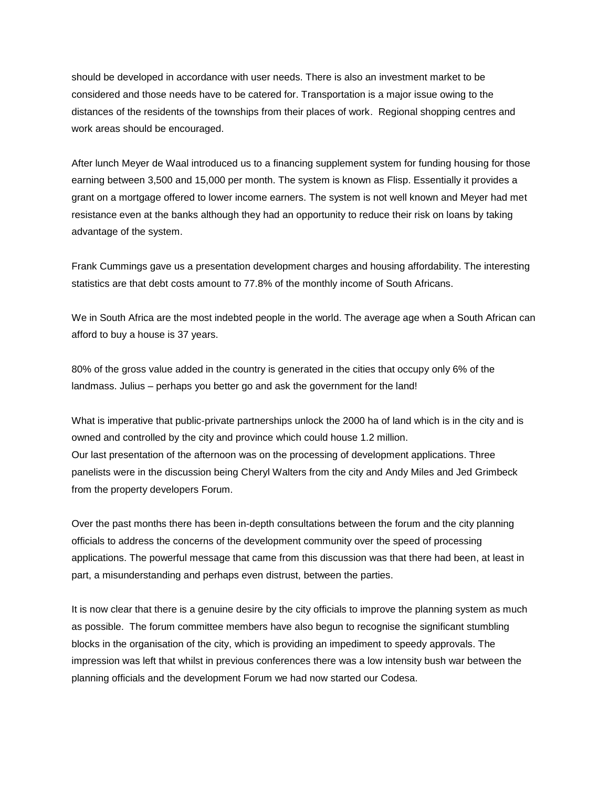should be developed in accordance with user needs. There is also an investment market to be considered and those needs have to be catered for. Transportation is a major issue owing to the distances of the residents of the townships from their places of work. Regional shopping centres and work areas should be encouraged.

After lunch Meyer de Waal introduced us to a financing supplement system for funding housing for those earning between 3,500 and 15,000 per month. The system is known as Flisp. Essentially it provides a grant on a mortgage offered to lower income earners. The system is not well known and Meyer had met resistance even at the banks although they had an opportunity to reduce their risk on loans by taking advantage of the system.

Frank Cummings gave us a presentation development charges and housing affordability. The interesting statistics are that debt costs amount to 77.8% of the monthly income of South Africans.

We in South Africa are the most indebted people in the world. The average age when a South African can afford to buy a house is 37 years.

80% of the gross value added in the country is generated in the cities that occupy only 6% of the landmass. Julius – perhaps you better go and ask the government for the land!

What is imperative that public-private partnerships unlock the 2000 ha of land which is in the city and is owned and controlled by the city and province which could house 1.2 million. Our last presentation of the afternoon was on the processing of development applications. Three panelists were in the discussion being Cheryl Walters from the city and Andy Miles and Jed Grimbeck from the property developers Forum.

Over the past months there has been in-depth consultations between the forum and the city planning officials to address the concerns of the development community over the speed of processing applications. The powerful message that came from this discussion was that there had been, at least in part, a misunderstanding and perhaps even distrust, between the parties.

It is now clear that there is a genuine desire by the city officials to improve the planning system as much as possible. The forum committee members have also begun to recognise the significant stumbling blocks in the organisation of the city, which is providing an impediment to speedy approvals. The impression was left that whilst in previous conferences there was a low intensity bush war between the planning officials and the development Forum we had now started our Codesa.